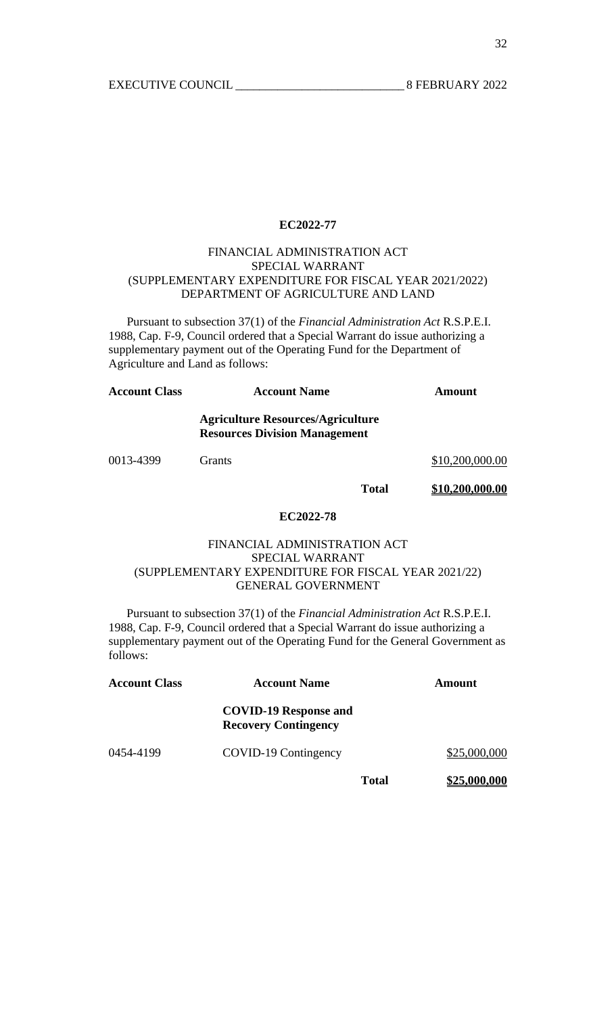### FINANCIAL ADMINISTRATION ACT SPECIAL WARRANT (SUPPLEMENTARY EXPENDITURE FOR FISCAL YEAR 2021/2022) DEPARTMENT OF AGRICULTURE AND LAND

 Pursuant to subsection 37(1) of the *Financial Administration Act* R.S.P.E.I. 1988, Cap. F-9, Council ordered that a Special Warrant do issue authorizing a supplementary payment out of the Operating Fund for the Department of Agriculture and Land as follows:

| <b>Account Class</b> | <b>Account Name</b>                                                              | Amount          |
|----------------------|----------------------------------------------------------------------------------|-----------------|
|                      | <b>Agriculture Resources/Agriculture</b><br><b>Resources Division Management</b> |                 |
| 0013-4399            | <b>Grants</b>                                                                    | \$10,200,000.00 |

**Total \$10,200,000.00**

# **EC2022-78**

### FINANCIAL ADMINISTRATION ACT SPECIAL WARRANT (SUPPLEMENTARY EXPENDITURE FOR FISCAL YEAR 2021/22) GENERAL GOVERNMENT

 Pursuant to subsection 37(1) of the *Financial Administration Act* R.S.P.E.I. 1988, Cap. F-9, Council ordered that a Special Warrant do issue authorizing a supplementary payment out of the Operating Fund for the General Government as follows:

| <b>Account Class</b><br><b>Account Name</b> |                                                             |       | Amount       |  |
|---------------------------------------------|-------------------------------------------------------------|-------|--------------|--|
|                                             | <b>COVID-19 Response and</b><br><b>Recovery Contingency</b> |       |              |  |
| 0454-4199                                   | COVID-19 Contingency                                        |       | \$25,000,000 |  |
|                                             |                                                             | Total | \$25,000,000 |  |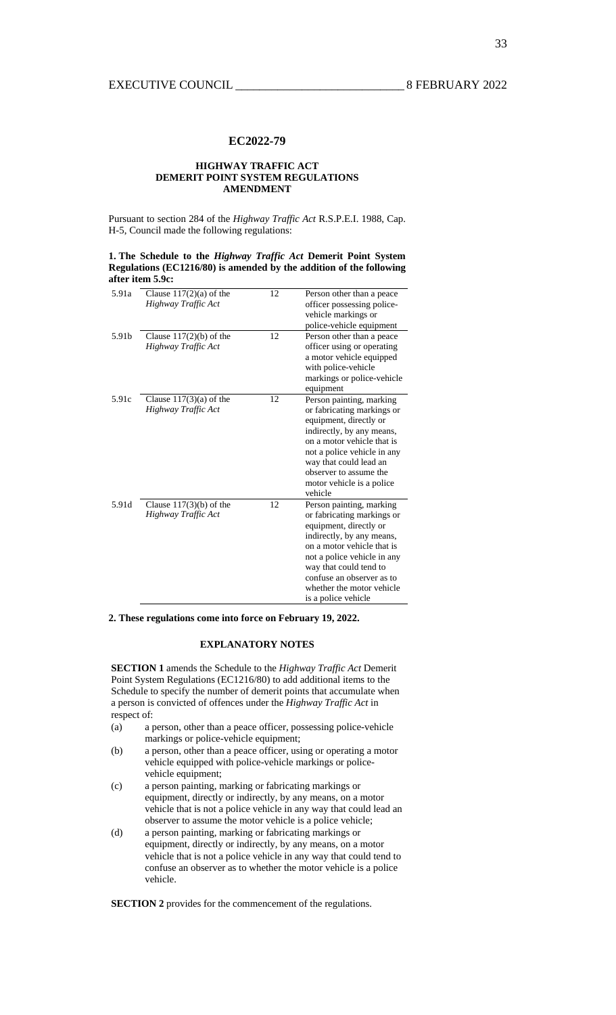#### **HIGHWAY TRAFFIC ACT DEMERIT POINT SYSTEM REGULATIONS AMENDMENT**

Pursuant to section 284 of the *Highway Traffic Act* R.S.P.E.I. 1988, Cap. H-5, Council made the following regulations:

**1. The Schedule to the** *Highway Traffic Act* **Demerit Point System Regulations (EC1216/80) is amended by the addition of the following after item 5.9c:** 

| 5.91a | Clause $117(2)(a)$ of the | 12 | Person other than a peace   |
|-------|---------------------------|----|-----------------------------|
|       | Highway Traffic Act       |    | officer possessing police-  |
|       |                           |    | vehicle markings or         |
|       |                           |    | police-vehicle equipment    |
| 5.91b | Clause $117(2)(b)$ of the | 12 | Person other than a peace   |
|       | Highway Traffic Act       |    | officer using or operating  |
|       |                           |    | a motor vehicle equipped    |
|       |                           |    | with police-vehicle         |
|       |                           |    | markings or police-vehicle  |
|       |                           |    | equipment                   |
| 5.91c | Clause $117(3)(a)$ of the | 12 | Person painting, marking    |
|       | Highway Traffic Act       |    | or fabricating markings or  |
|       |                           |    | equipment, directly or      |
|       |                           |    | indirectly, by any means,   |
|       |                           |    | on a motor vehicle that is  |
|       |                           |    | not a police vehicle in any |
|       |                           |    | way that could lead an      |
|       |                           |    | observer to assume the      |
|       |                           |    | motor vehicle is a police   |
|       |                           |    | vehicle                     |
| 5.91d | Clause $117(3)(b)$ of the | 12 | Person painting, marking    |
|       | Highway Traffic Act       |    | or fabricating markings or  |
|       |                           |    | equipment, directly or      |
|       |                           |    | indirectly, by any means,   |
|       |                           |    | on a motor vehicle that is  |
|       |                           |    | not a police vehicle in any |
|       |                           |    | way that could tend to      |
|       |                           |    | confuse an observer as to   |
|       |                           |    | whether the motor vehicle   |
|       |                           |    | is a police vehicle         |

**2. These regulations come into force on February 19, 2022.** 

### **EXPLANATORY NOTES**

**SECTION 1** amends the Schedule to the *Highway Traffic Act* Demerit Point System Regulations (EC1216/80) to add additional items to the Schedule to specify the number of demerit points that accumulate when a person is convicted of offences under the *Highway Traffic Act* in respect of:

- (a) a person, other than a peace officer, possessing police-vehicle markings or police-vehicle equipment;
- (b) a person, other than a peace officer, using or operating a motor vehicle equipped with police-vehicle markings or policevehicle equipment;
- (c) a person painting, marking or fabricating markings or equipment, directly or indirectly, by any means, on a motor vehicle that is not a police vehicle in any way that could lead an observer to assume the motor vehicle is a police vehicle;
- (d) a person painting, marking or fabricating markings or equipment, directly or indirectly, by any means, on a motor vehicle that is not a police vehicle in any way that could tend to confuse an observer as to whether the motor vehicle is a police vehicle.

**SECTION 2** provides for the commencement of the regulations.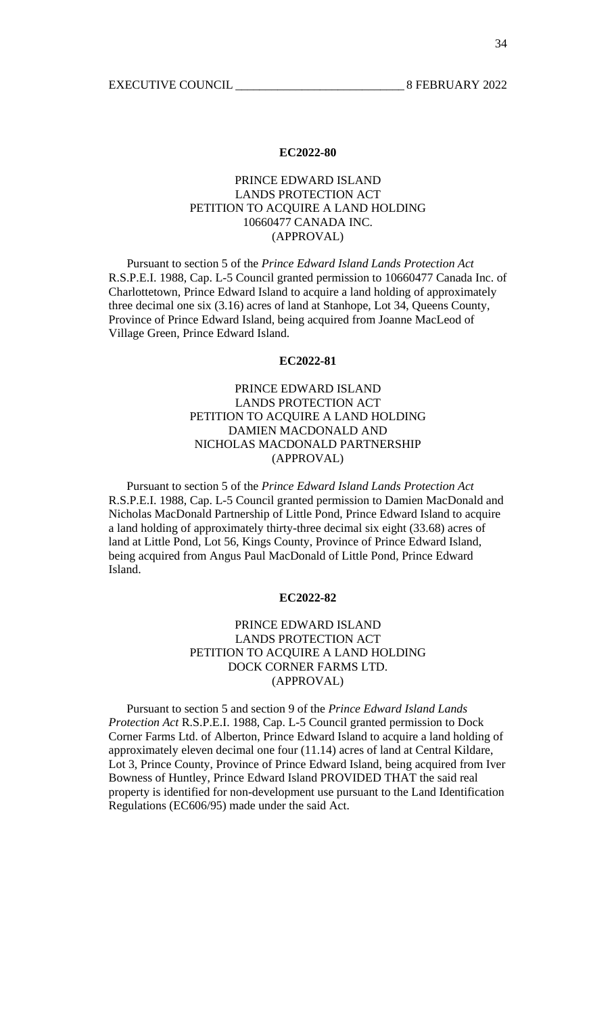# PRINCE EDWARD ISLAND LANDS PROTECTION ACT PETITION TO ACQUIRE A LAND HOLDING 10660477 CANADA INC. (APPROVAL)

 Pursuant to section 5 of the *Prince Edward Island Lands Protection Act* R.S.P.E.I. 1988, Cap. L-5 Council granted permission to 10660477 Canada Inc. of Charlottetown, Prince Edward Island to acquire a land holding of approximately three decimal one six (3.16) acres of land at Stanhope, Lot 34, Queens County, Province of Prince Edward Island, being acquired from Joanne MacLeod of Village Green, Prince Edward Island.

### **EC2022-81**

# PRINCE EDWARD ISLAND LANDS PROTECTION ACT PETITION TO ACQUIRE A LAND HOLDING DAMIEN MACDONALD AND NICHOLAS MACDONALD PARTNERSHIP (APPROVAL)

 Pursuant to section 5 of the *Prince Edward Island Lands Protection Act* R.S.P.E.I. 1988, Cap. L-5 Council granted permission to Damien MacDonald and Nicholas MacDonald Partnership of Little Pond, Prince Edward Island to acquire a land holding of approximately thirty-three decimal six eight (33.68) acres of land at Little Pond, Lot 56, Kings County, Province of Prince Edward Island, being acquired from Angus Paul MacDonald of Little Pond, Prince Edward Island.

### **EC2022-82**

### PRINCE EDWARD ISLAND LANDS PROTECTION ACT PETITION TO ACQUIRE A LAND HOLDING DOCK CORNER FARMS LTD. (APPROVAL)

 Pursuant to section 5 and section 9 of the *Prince Edward Island Lands Protection Act* R.S.P.E.I. 1988, Cap. L-5 Council granted permission to Dock Corner Farms Ltd. of Alberton, Prince Edward Island to acquire a land holding of approximately eleven decimal one four (11.14) acres of land at Central Kildare, Lot 3, Prince County, Province of Prince Edward Island, being acquired from Iver Bowness of Huntley, Prince Edward Island PROVIDED THAT the said real property is identified for non-development use pursuant to the Land Identification Regulations (EC606/95) made under the said Act.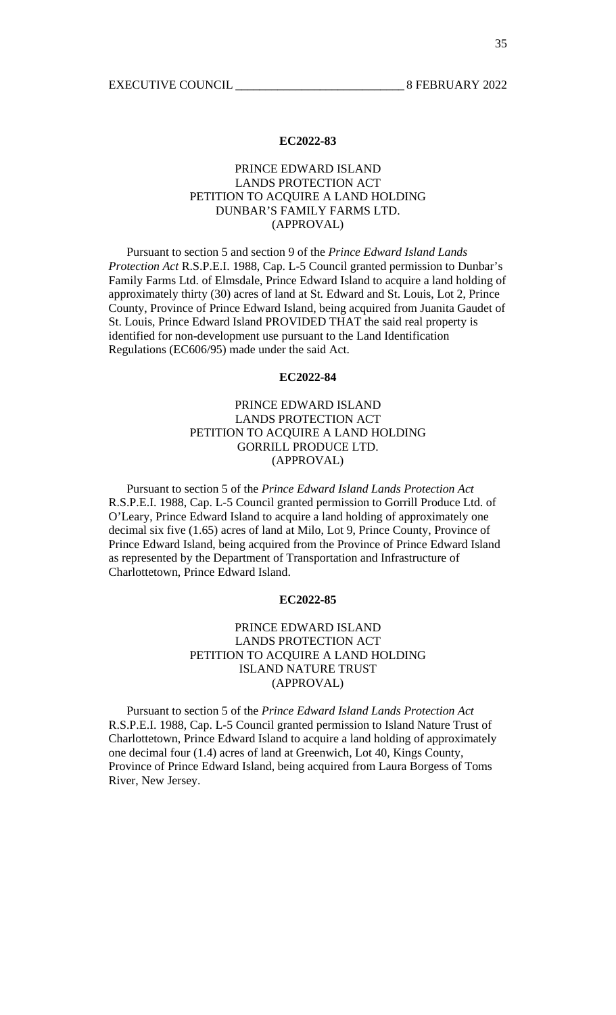# PRINCE EDWARD ISLAND LANDS PROTECTION ACT PETITION TO ACQUIRE A LAND HOLDING DUNBAR'S FAMILY FARMS LTD. (APPROVAL)

 Pursuant to section 5 and section 9 of the *Prince Edward Island Lands Protection Act* R.S.P.E.I. 1988, Cap. L-5 Council granted permission to Dunbar's Family Farms Ltd. of Elmsdale, Prince Edward Island to acquire a land holding of approximately thirty (30) acres of land at St. Edward and St. Louis, Lot 2, Prince County, Province of Prince Edward Island, being acquired from Juanita Gaudet of St. Louis, Prince Edward Island PROVIDED THAT the said real property is identified for non-development use pursuant to the Land Identification Regulations (EC606/95) made under the said Act.

### **EC2022-84**

# PRINCE EDWARD ISLAND LANDS PROTECTION ACT PETITION TO ACQUIRE A LAND HOLDING GORRILL PRODUCE LTD. (APPROVAL)

 Pursuant to section 5 of the *Prince Edward Island Lands Protection Act* R.S.P.E.I. 1988, Cap. L-5 Council granted permission to Gorrill Produce Ltd. of O'Leary, Prince Edward Island to acquire a land holding of approximately one decimal six five (1.65) acres of land at Milo, Lot 9, Prince County, Province of Prince Edward Island, being acquired from the Province of Prince Edward Island as represented by the Department of Transportation and Infrastructure of Charlottetown, Prince Edward Island.

### **EC2022-85**

# PRINCE EDWARD ISLAND LANDS PROTECTION ACT PETITION TO ACQUIRE A LAND HOLDING ISLAND NATURE TRUST (APPROVAL)

 Pursuant to section 5 of the *Prince Edward Island Lands Protection Act* R.S.P.E.I. 1988, Cap. L-5 Council granted permission to Island Nature Trust of Charlottetown, Prince Edward Island to acquire a land holding of approximately one decimal four (1.4) acres of land at Greenwich, Lot 40, Kings County, Province of Prince Edward Island, being acquired from Laura Borgess of Toms River, New Jersey.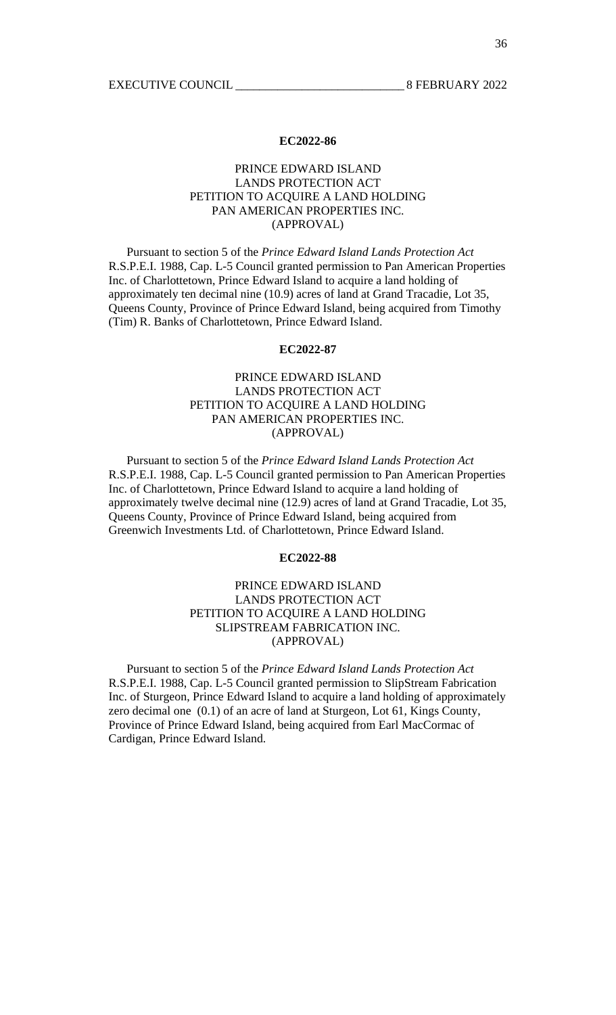# PRINCE EDWARD ISLAND LANDS PROTECTION ACT PETITION TO ACQUIRE A LAND HOLDING PAN AMERICAN PROPERTIES INC. (APPROVAL)

 Pursuant to section 5 of the *Prince Edward Island Lands Protection Act* R.S.P.E.I. 1988, Cap. L-5 Council granted permission to Pan American Properties Inc. of Charlottetown, Prince Edward Island to acquire a land holding of approximately ten decimal nine (10.9) acres of land at Grand Tracadie, Lot 35, Queens County, Province of Prince Edward Island, being acquired from Timothy (Tim) R. Banks of Charlottetown, Prince Edward Island.

### **EC2022-87**

# PRINCE EDWARD ISLAND LANDS PROTECTION ACT PETITION TO ACQUIRE A LAND HOLDING PAN AMERICAN PROPERTIES INC. (APPROVAL)

 Pursuant to section 5 of the *Prince Edward Island Lands Protection Act* R.S.P.E.I. 1988, Cap. L-5 Council granted permission to Pan American Properties Inc. of Charlottetown, Prince Edward Island to acquire a land holding of approximately twelve decimal nine (12.9) acres of land at Grand Tracadie, Lot 35, Queens County, Province of Prince Edward Island, being acquired from Greenwich Investments Ltd. of Charlottetown, Prince Edward Island.

#### **EC2022-88**

# PRINCE EDWARD ISLAND LANDS PROTECTION ACT PETITION TO ACQUIRE A LAND HOLDING SLIPSTREAM FABRICATION INC. (APPROVAL)

 Pursuant to section 5 of the *Prince Edward Island Lands Protection Act* R.S.P.E.I. 1988, Cap. L-5 Council granted permission to SlipStream Fabrication Inc. of Sturgeon, Prince Edward Island to acquire a land holding of approximately zero decimal one (0.1) of an acre of land at Sturgeon, Lot 61, Kings County, Province of Prince Edward Island, being acquired from Earl MacCormac of Cardigan, Prince Edward Island.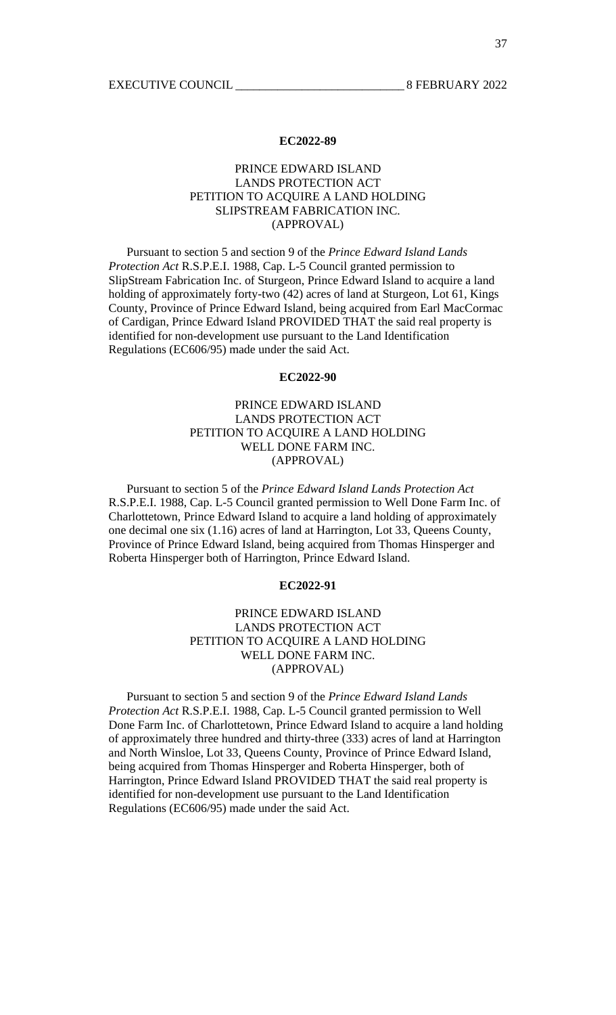# PRINCE EDWARD ISLAND LANDS PROTECTION ACT PETITION TO ACQUIRE A LAND HOLDING SLIPSTREAM FABRICATION INC. (APPROVAL)

 Pursuant to section 5 and section 9 of the *Prince Edward Island Lands Protection Act* R.S.P.E.I. 1988, Cap. L-5 Council granted permission to SlipStream Fabrication Inc. of Sturgeon, Prince Edward Island to acquire a land holding of approximately forty-two (42) acres of land at Sturgeon, Lot 61, Kings County, Province of Prince Edward Island, being acquired from Earl MacCormac of Cardigan, Prince Edward Island PROVIDED THAT the said real property is identified for non-development use pursuant to the Land Identification Regulations (EC606/95) made under the said Act.

### **EC2022-90**

# PRINCE EDWARD ISLAND LANDS PROTECTION ACT PETITION TO ACQUIRE A LAND HOLDING WELL DONE FARM INC. (APPROVAL)

 Pursuant to section 5 of the *Prince Edward Island Lands Protection Act* R.S.P.E.I. 1988, Cap. L-5 Council granted permission to Well Done Farm Inc. of Charlottetown, Prince Edward Island to acquire a land holding of approximately one decimal one six (1.16) acres of land at Harrington, Lot 33, Queens County, Province of Prince Edward Island, being acquired from Thomas Hinsperger and Roberta Hinsperger both of Harrington, Prince Edward Island.

### **EC2022-91**

# PRINCE EDWARD ISLAND LANDS PROTECTION ACT PETITION TO ACQUIRE A LAND HOLDING WELL DONE FARM INC. (APPROVAL)

 Pursuant to section 5 and section 9 of the *Prince Edward Island Lands Protection Act* R.S.P.E.I. 1988, Cap. L-5 Council granted permission to Well Done Farm Inc. of Charlottetown, Prince Edward Island to acquire a land holding of approximately three hundred and thirty-three (333) acres of land at Harrington and North Winsloe, Lot 33, Queens County, Province of Prince Edward Island, being acquired from Thomas Hinsperger and Roberta Hinsperger, both of Harrington, Prince Edward Island PROVIDED THAT the said real property is identified for non-development use pursuant to the Land Identification Regulations (EC606/95) made under the said Act.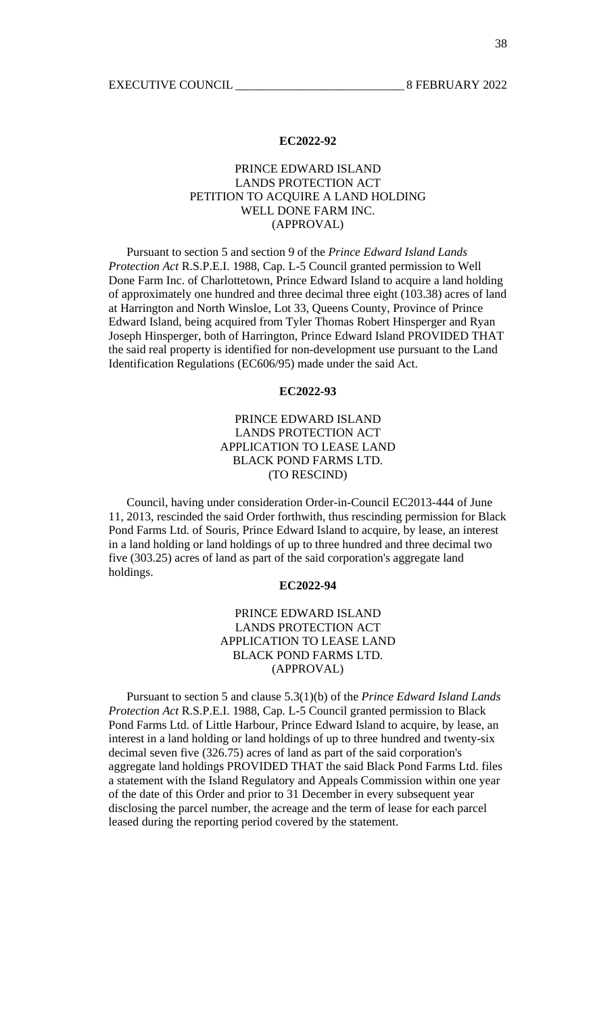# PRINCE EDWARD ISLAND LANDS PROTECTION ACT PETITION TO ACQUIRE A LAND HOLDING WELL DONE FARM INC. (APPROVAL)

 Pursuant to section 5 and section 9 of the *Prince Edward Island Lands Protection Act* R.S.P.E.I. 1988, Cap. L-5 Council granted permission to Well Done Farm Inc. of Charlottetown, Prince Edward Island to acquire a land holding of approximately one hundred and three decimal three eight (103.38) acres of land at Harrington and North Winsloe, Lot 33, Queens County, Province of Prince Edward Island, being acquired from Tyler Thomas Robert Hinsperger and Ryan Joseph Hinsperger, both of Harrington, Prince Edward Island PROVIDED THAT the said real property is identified for non-development use pursuant to the Land Identification Regulations (EC606/95) made under the said Act.

#### **EC2022-93**

# PRINCE EDWARD ISLAND LANDS PROTECTION ACT APPLICATION TO LEASE LAND BLACK POND FARMS LTD. (TO RESCIND)

 Council, having under consideration Order-in-Council EC2013-444 of June 11, 2013, rescinded the said Order forthwith, thus rescinding permission for Black Pond Farms Ltd. of Souris, Prince Edward Island to acquire, by lease, an interest in a land holding or land holdings of up to three hundred and three decimal two five (303.25) acres of land as part of the said corporation's aggregate land holdings.

### **EC2022-94**

# PRINCE EDWARD ISLAND LANDS PROTECTION ACT APPLICATION TO LEASE LAND BLACK POND FARMS LTD. (APPROVAL)

 Pursuant to section 5 and clause 5.3(1)(b) of the *Prince Edward Island Lands Protection Act* R.S.P.E.I. 1988, Cap. L-5 Council granted permission to Black Pond Farms Ltd. of Little Harbour, Prince Edward Island to acquire, by lease, an interest in a land holding or land holdings of up to three hundred and twenty-six decimal seven five (326.75) acres of land as part of the said corporation's aggregate land holdings PROVIDED THAT the said Black Pond Farms Ltd. files a statement with the Island Regulatory and Appeals Commission within one year of the date of this Order and prior to 31 December in every subsequent year disclosing the parcel number, the acreage and the term of lease for each parcel leased during the reporting period covered by the statement.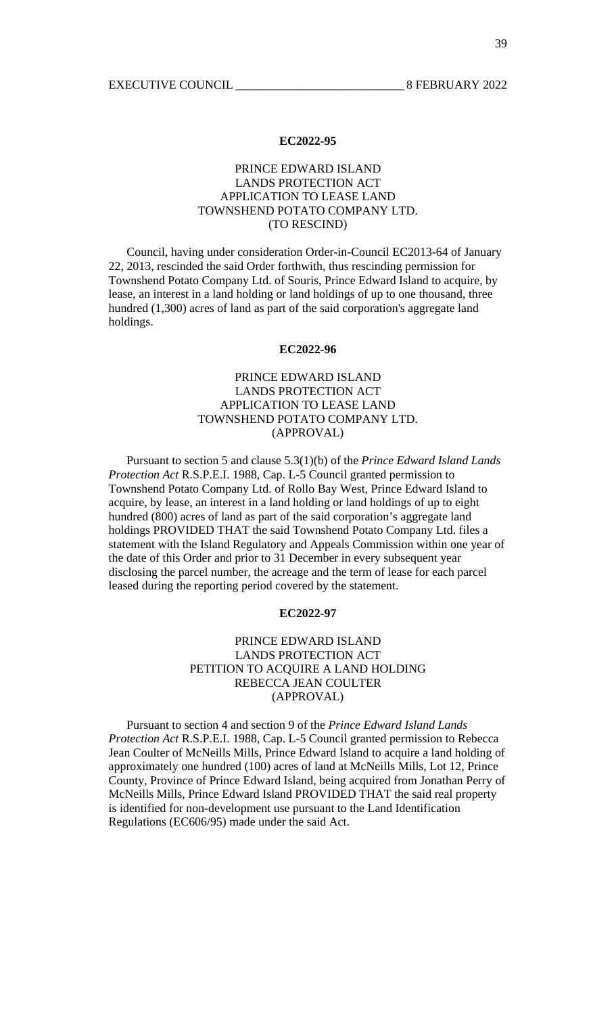# PRINCE EDWARD ISLAND LANDS PROTECTION ACT APPLICATION TO LEASE LAND TOWNSHEND POTATO COMPANY LTD. (TO RESCIND)

 Council, having under consideration Order-in-Council EC2013-64 of January 22, 2013, rescinded the said Order forthwith, thus rescinding permission for Townshend Potato Company Ltd. of Souris, Prince Edward Island to acquire, by lease, an interest in a land holding or land holdings of up to one thousand, three hundred (1,300) acres of land as part of the said corporation's aggregate land holdings.

### **EC2022-96**

# PRINCE EDWARD ISLAND LANDS PROTECTION ACT APPLICATION TO LEASE LAND TOWNSHEND POTATO COMPANY LTD. (APPROVAL)

 Pursuant to section 5 and clause 5.3(1)(b) of the *Prince Edward Island Lands Protection Act* R.S.P.E.I. 1988, Cap. L-5 Council granted permission to Townshend Potato Company Ltd. of Rollo Bay West, Prince Edward Island to acquire, by lease, an interest in a land holding or land holdings of up to eight hundred (800) acres of land as part of the said corporation's aggregate land holdings PROVIDED THAT the said Townshend Potato Company Ltd. files a statement with the Island Regulatory and Appeals Commission within one year of the date of this Order and prior to 31 December in every subsequent year disclosing the parcel number, the acreage and the term of lease for each parcel leased during the reporting period covered by the statement.

### **EC2022-97**

## PRINCE EDWARD ISLAND LANDS PROTECTION ACT PETITION TO ACQUIRE A LAND HOLDING REBECCA JEAN COULTER (APPROVAL)

 Pursuant to section 4 and section 9 of the *Prince Edward Island Lands Protection Act* R.S.P.E.I. 1988, Cap. L-5 Council granted permission to Rebecca Jean Coulter of McNeills Mills, Prince Edward Island to acquire a land holding of approximately one hundred (100) acres of land at McNeills Mills, Lot 12, Prince County, Province of Prince Edward Island, being acquired from Jonathan Perry of McNeills Mills, Prince Edward Island PROVIDED THAT the said real property is identified for non-development use pursuant to the Land Identification Regulations (EC606/95) made under the said Act.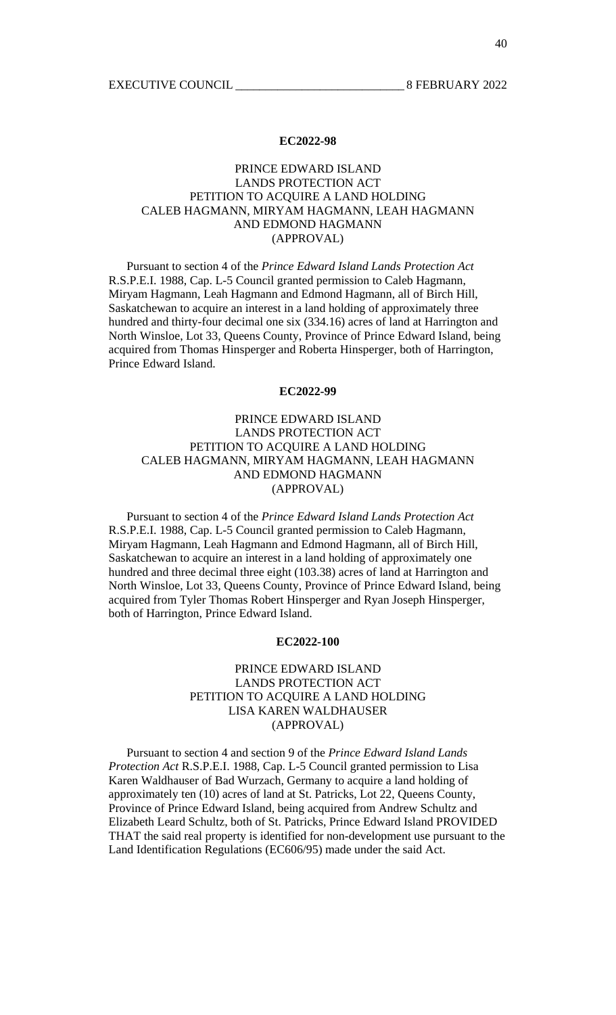# PRINCE EDWARD ISLAND LANDS PROTECTION ACT PETITION TO ACQUIRE A LAND HOLDING CALEB HAGMANN, MIRYAM HAGMANN, LEAH HAGMANN AND EDMOND HAGMANN (APPROVAL)

 Pursuant to section 4 of the *Prince Edward Island Lands Protection Act* R.S.P.E.I. 1988, Cap. L-5 Council granted permission to Caleb Hagmann, Miryam Hagmann, Leah Hagmann and Edmond Hagmann, all of Birch Hill, Saskatchewan to acquire an interest in a land holding of approximately three hundred and thirty-four decimal one six (334.16) acres of land at Harrington and North Winsloe, Lot 33, Queens County, Province of Prince Edward Island, being acquired from Thomas Hinsperger and Roberta Hinsperger, both of Harrington, Prince Edward Island.

#### **EC2022-99**

# PRINCE EDWARD ISLAND LANDS PROTECTION ACT PETITION TO ACQUIRE A LAND HOLDING CALEB HAGMANN, MIRYAM HAGMANN, LEAH HAGMANN AND EDMOND HAGMANN (APPROVAL)

 Pursuant to section 4 of the *Prince Edward Island Lands Protection Act* R.S.P.E.I. 1988, Cap. L-5 Council granted permission to Caleb Hagmann, Miryam Hagmann, Leah Hagmann and Edmond Hagmann, all of Birch Hill, Saskatchewan to acquire an interest in a land holding of approximately one hundred and three decimal three eight (103.38) acres of land at Harrington and North Winsloe, Lot 33, Queens County, Province of Prince Edward Island, being acquired from Tyler Thomas Robert Hinsperger and Ryan Joseph Hinsperger, both of Harrington, Prince Edward Island.

### **EC2022-100**

# PRINCE EDWARD ISLAND LANDS PROTECTION ACT PETITION TO ACQUIRE A LAND HOLDING LISA KAREN WALDHAUSER (APPROVAL)

 Pursuant to section 4 and section 9 of the *Prince Edward Island Lands Protection Act* R.S.P.E.I. 1988, Cap. L-5 Council granted permission to Lisa Karen Waldhauser of Bad Wurzach, Germany to acquire a land holding of approximately ten (10) acres of land at St. Patricks, Lot 22, Queens County, Province of Prince Edward Island, being acquired from Andrew Schultz and Elizabeth Leard Schultz, both of St. Patricks, Prince Edward Island PROVIDED THAT the said real property is identified for non-development use pursuant to the Land Identification Regulations (EC606/95) made under the said Act.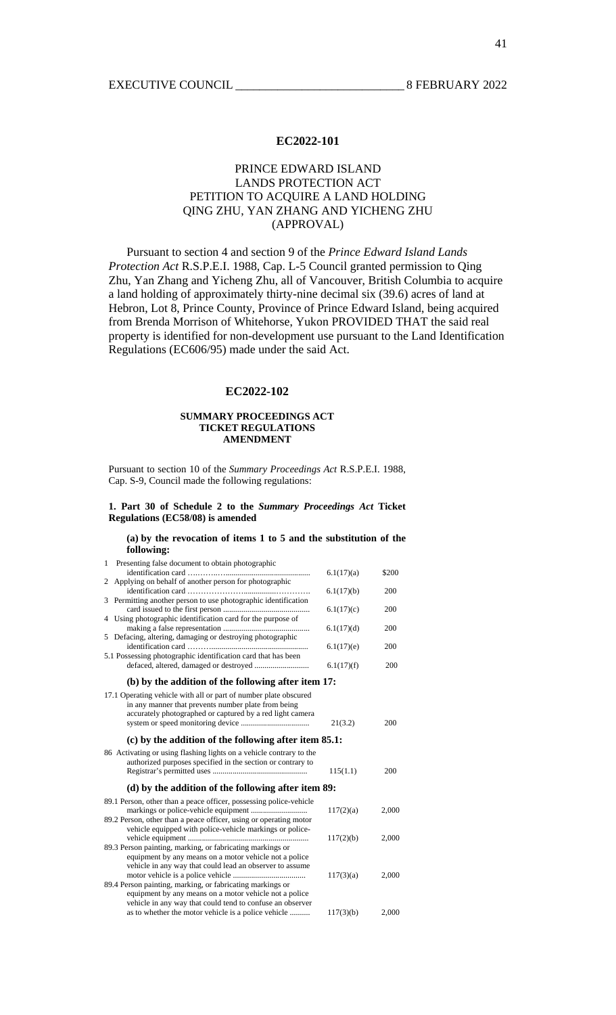# PRINCE EDWARD ISLAND LANDS PROTECTION ACT PETITION TO ACQUIRE A LAND HOLDING QING ZHU, YAN ZHANG AND YICHENG ZHU (APPROVAL)

 Pursuant to section 4 and section 9 of the *Prince Edward Island Lands Protection Act* R.S.P.E.I. 1988, Cap. L-5 Council granted permission to Qing Zhu, Yan Zhang and Yicheng Zhu, all of Vancouver, British Columbia to acquire a land holding of approximately thirty-nine decimal six (39.6) acres of land at Hebron, Lot 8, Prince County, Province of Prince Edward Island, being acquired from Brenda Morrison of Whitehorse, Yukon PROVIDED THAT the said real property is identified for non-development use pursuant to the Land Identification Regulations (EC606/95) made under the said Act.

### **EC2022-102**

#### **SUMMARY PROCEEDINGS ACT TICKET REGULATIONS AMENDMENT**

Pursuant to section 10 of the *Summary Proceedings Act* R.S.P.E.I. 1988, Cap. S-9, Council made the following regulations:

#### **1. Part 30 of Schedule 2 to the** *Summary Proceedings Act* **Ticket Regulations (EC58/08) is amended**

#### **(a) by the revocation of items 1 to 5 and the substitution of the following:**

| $\mathbf{1}$ | Presenting false document to obtain photographic                    |            |       |
|--------------|---------------------------------------------------------------------|------------|-------|
|              |                                                                     | 6.1(17)(a) | \$200 |
| 2            | Applying on behalf of another person for photographic               |            |       |
|              |                                                                     | 6.1(17)(b) | 200   |
| 3            | Permitting another person to use photographic identification        |            |       |
|              |                                                                     | 6.1(17)(c) | 200   |
|              | 4 Using photographic identification card for the purpose of         |            |       |
|              |                                                                     | 6.1(17)(d) | 200   |
|              | 5 Defacing, altering, damaging or destroying photographic           |            |       |
|              |                                                                     | 6.1(17)(e) | 200   |
|              | 5.1 Possessing photographic identification card that has been       |            |       |
|              |                                                                     | 6.1(17)(f) | 200   |
|              | (b) by the addition of the following after item 17:                 |            |       |
|              | 17.1 Operating vehicle with all or part of number plate obscured    |            |       |
|              | in any manner that prevents number plate from being                 |            |       |
|              | accurately photographed or captured by a red light camera           |            |       |
|              |                                                                     | 21(3.2)    | 200   |
|              |                                                                     |            |       |
|              | $(c)$ by the addition of the following after item 85.1:             |            |       |
|              | 86 Activating or using flashing lights on a vehicle contrary to the |            |       |
|              | authorized purposes specified in the section or contrary to         |            |       |
|              |                                                                     | 115(1.1)   | 200   |
|              | (d) by the addition of the following after item 89:                 |            |       |
|              | 89.1 Person, other than a peace officer, possessing police-vehicle  |            |       |
|              |                                                                     | 117(2)(a)  | 2,000 |
|              | 89.2 Person, other than a peace officer, using or operating motor   |            |       |
|              | vehicle equipped with police-vehicle markings or police-            |            |       |
|              |                                                                     | 117(2)(b)  | 2,000 |
|              | 89.3 Person painting, marking, or fabricating markings or           |            |       |
|              | equipment by any means on a motor vehicle not a police              |            |       |
|              | vehicle in any way that could lead an observer to assume            |            |       |
|              |                                                                     | 117(3)(a)  | 2,000 |
|              | 89.4 Person painting, marking, or fabricating markings or           |            |       |
|              | equipment by any means on a motor vehicle not a police              |            |       |
|              | vehicle in any way that could tend to confuse an observer           |            |       |
|              | as to whether the motor vehicle is a police vehicle                 | 117(3)(b)  | 2,000 |
|              |                                                                     |            |       |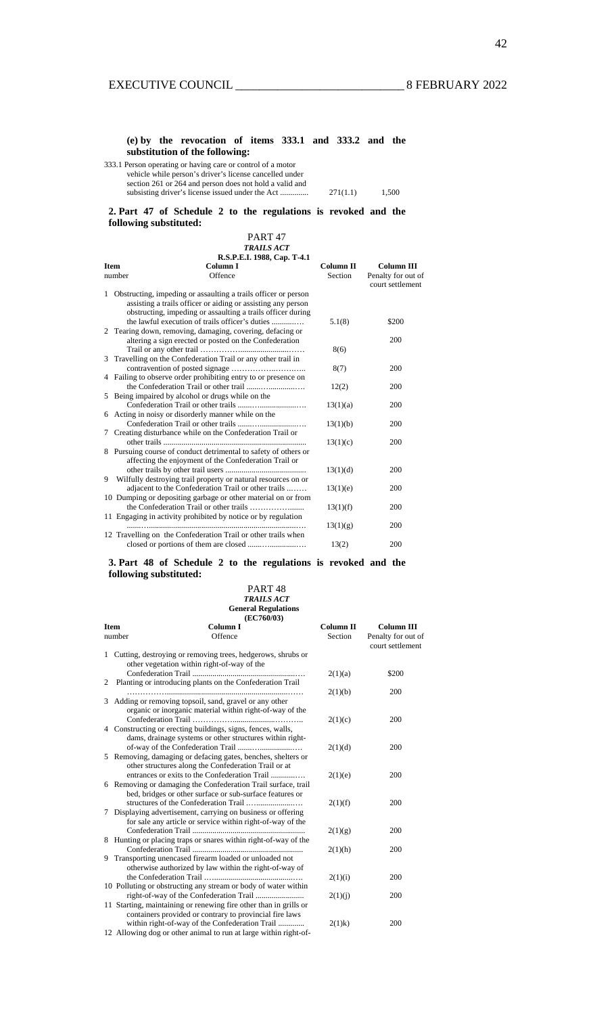### **(e) by the revocation of items 333.1 and 333.2 and the substitution of the following:**

| 333.1 Person operating or having care or control of a motor |          |       |
|-------------------------------------------------------------|----------|-------|
| vehicle while person's driver's license cancelled under     |          |       |
| section 261 or 264 and person does not hold a valid and     |          |       |
|                                                             | 271(1.1) | 1.500 |

**2. Part 47 of Schedule 2 to the regulations is revoked and the following substituted:** 

PART 47 *TRAILS ACT* **R.S.P.E.I. 1988, Cap. T-4.1 Item**  number **Column I Offence Column II**  Section **Column III**  Penalty for out of court settlement 1 Obstructing, impeding or assaulting a trails officer or person assisting a trails officer or aiding or assisting any person obstructing, impeding or assaulting a trails officer during the lawful execution of trails officer's duties ...........…. 5.1(8) \$200 2 Tearing down, removing, damaging, covering, defacing or altering a sign erected or posted on the Confederation Trail or any other trail ……………........................…… 8(6) 200 3 Travelling on the Confederation Trail or any other trail in contravention of posted signage ……………..…….….. 8(7) 200 4 Failing to observe order prohibiting entry to or presence on the Confederation Trail or other trail .......….............…. 12(2) 200 5 Being impaired by alcohol or drugs while on the Confederation Trail or other trails .......…..................…. 13(1)(a) 200 6 Acting in noisy or disorderly manner while on the Confederation Trail or other trails .......…..................…. 13(1)(b) 200 7 Creating disturbance while on the Confederation Trail or other trails ....................................................................... 13(1)(c) 200 8 Pursuing course of conduct detrimental to safety of others or affecting the enjoyment of the Confederation Trail or other trails by other trail users ........................................ 13(1)(d) 200 9 Wilfully destroying trail property or natural resources on or adjacent to the Confederation Trail or other trails ........ 13(1)(e) 200 10 Dumping or depositing garbage or other material on or from the Confederation Trail or other trails ……………....... 13(1)(f) 200 11 Engaging in activity prohibited by notice or by regulation .......….........................................................................…. 13(1)(g) 200 12 Travelling on the Confederation Trail or other trails when closed or portions of them are closed .......….............…. 13(2) 200

#### **3. Part 48 of Schedule 2 to the regulations is revoked and the following substituted:**

#### PART 48 *TRAILS ACT*

#### **General Regulations**  EC760/03)

| <b>Item</b> | Column I<br>Offence<br>number                                     | Column <sub>II</sub><br>Section | <b>Column III</b><br>Penalty for out of<br>court settlement |
|-------------|-------------------------------------------------------------------|---------------------------------|-------------------------------------------------------------|
|             | 1 Cutting, destroying or removing trees, hedgerows, shrubs or     |                                 |                                                             |
|             | other vegetation within right-of-way of the                       |                                 |                                                             |
|             |                                                                   | 2(1)(a)                         | \$200                                                       |
| 2           | Planting or introducing plants on the Confederation Trail         |                                 |                                                             |
| 3           | Adding or removing topsoil, sand, gravel or any other             | 2(1)(b)                         | 200                                                         |
|             |                                                                   |                                 |                                                             |
|             | organic or inorganic material within right-of-way of the          | 2(1)(c)                         | 200                                                         |
|             | 4 Constructing or erecting buildings, signs, fences, walls,       |                                 |                                                             |
|             | dams, drainage systems or other structures within right-          |                                 |                                                             |
|             |                                                                   | 2(1)(d)                         | 200                                                         |
|             | 5 Removing, damaging or defacing gates, benches, shelters or      |                                 |                                                             |
|             | other structures along the Confederation Trail or at              |                                 |                                                             |
|             | entrances or exits to the Confederation Trail                     | 2(1)(e)                         | 200                                                         |
|             | 6 Removing or damaging the Confederation Trail surface, trail     |                                 |                                                             |
|             | bed, bridges or other surface or sub-surface features or          |                                 |                                                             |
|             |                                                                   | 2(1)(f)                         | 200                                                         |
| 7           | Displaying advertisement, carrying on business or offering        |                                 |                                                             |
|             | for sale any article or service within right-of-way of the        |                                 |                                                             |
|             |                                                                   | 2(1)(g)                         | 200                                                         |
|             | 8 Hunting or placing traps or snares within right-of-way of the   |                                 |                                                             |
|             |                                                                   | 2(1)(h)                         | 200                                                         |
|             | 9 Transporting unencased firearm loaded or unloaded not           |                                 |                                                             |
|             | otherwise authorized by law within the right-of-way of            |                                 |                                                             |
|             |                                                                   | 2(1)(i)                         | 200                                                         |
|             | 10 Polluting or obstructing any stream or body of water within    |                                 |                                                             |
|             |                                                                   | 2(1)(i)                         | 200                                                         |
|             | 11 Starting, maintaining or renewing fire other than in grills or |                                 |                                                             |
|             | containers provided or contrary to provincial fire laws           |                                 |                                                             |
|             | within right-of-way of the Confederation Trail                    | $2(1)$ k)                       | 200                                                         |
|             | 12 Allowing dog or other animal to run at large within right-of-  |                                 |                                                             |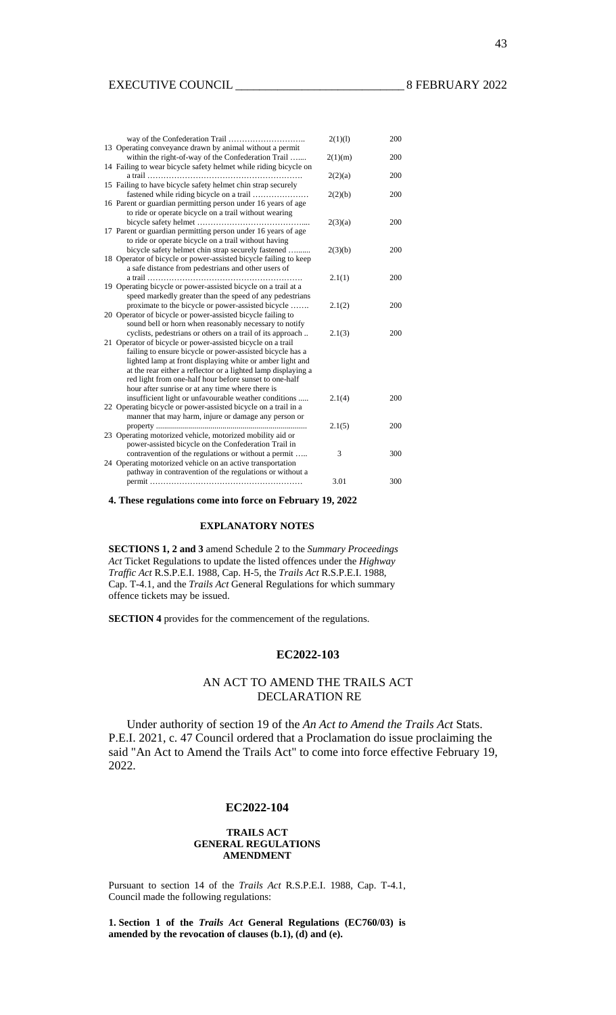| 13 Operating conveyance drawn by animal without a permit                                                                 | 2(1)(1) | 200 |
|--------------------------------------------------------------------------------------------------------------------------|---------|-----|
| within the right-of-way of the Confederation Trail                                                                       | 2(1)(m) | 200 |
| 14 Failing to wear bicycle safety helmet while riding bicycle on                                                         | 2(2)(a) | 200 |
| 15 Failing to have bicycle safety helmet chin strap securely                                                             | 2(2)(b) | 200 |
| 16 Parent or guardian permitting person under 16 years of age                                                            |         |     |
| to ride or operate bicycle on a trail without wearing                                                                    | 2(3)(a) | 200 |
| 17 Parent or guardian permitting person under 16 years of age<br>to ride or operate bicycle on a trail without having    |         |     |
| bicycle safety helmet chin strap securely fastened                                                                       | 2(3)(b) | 200 |
| 18 Operator of bicycle or power-assisted bicycle failing to keep<br>a safe distance from pedestrians and other users of  |         |     |
| 19 Operating bicycle or power-assisted bicycle on a trail at a                                                           | 2.1(1)  | 200 |
| speed markedly greater than the speed of any pedestrians<br>proximate to the bicycle or power-assisted bicycle           | 2.1(2)  | 200 |
| 20 Operator of bicycle or power-assisted bicycle failing to                                                              |         |     |
| sound bell or horn when reasonably necessary to notify<br>cyclists, pedestrians or others on a trail of its approach     | 2.1(3)  | 200 |
| 21 Operator of bicycle or power-assisted bicycle on a trail<br>failing to ensure bicycle or power-assisted bicycle has a |         |     |
| lighted lamp at front displaying white or amber light and                                                                |         |     |
| at the rear either a reflector or a lighted lamp displaying a<br>red light from one-half hour before sunset to one-half  |         |     |
| hour after sunrise or at any time where there is<br>insufficient light or unfavourable weather conditions                | 2.1(4)  | 200 |
| 22 Operating bicycle or power-assisted bicycle on a trail in a                                                           |         |     |
| manner that may harm, injure or damage any person or                                                                     | 2.1(5)  | 200 |
| 23 Operating motorized vehicle, motorized mobility aid or<br>power-assisted bicycle on the Confederation Trail in        |         |     |
| contravention of the regulations or without a permit                                                                     | 3       | 300 |
| 24 Operating motorized vehicle on an active transportation<br>pathway in contravention of the regulations or without a   |         |     |
|                                                                                                                          | 3.01    | 300 |

**4. These regulations come into force on February 19, 2022** 

### **EXPLANATORY NOTES**

**SECTIONS 1, 2 and 3** amend Schedule 2 to the *Summary Proceedings Act* Ticket Regulations to update the listed offences under the *Highway Traffic Act* R.S.P.E.I. 1988, Cap. H-5, the *Trails Act* R.S.P.E.I. 1988, Cap. T-4.1, and the *Trails Act* General Regulations for which summary offence tickets may be issued.

**SECTION 4** provides for the commencement of the regulations.

### **EC2022-103**

### AN ACT TO AMEND THE TRAILS ACT DECLARATION RE

 Under authority of section 19 of the *An Act to Amend the Trails Act* Stats. P.E.I. 2021, c. 47 Council ordered that a Proclamation do issue proclaiming the said "An Act to Amend the Trails Act" to come into force effective February 19, 2022.

### **EC2022-104**

#### **TRAILS ACT GENERAL REGULATIONS AMENDMENT**

Pursuant to section 14 of the *Trails Act* R.S.P.E.I. 1988, Cap. T-4.1, Council made the following regulations:

**1. Section 1 of the** *Trails Act* **General Regulations (EC760/03) is amended by the revocation of clauses (b.1), (d) and (e).**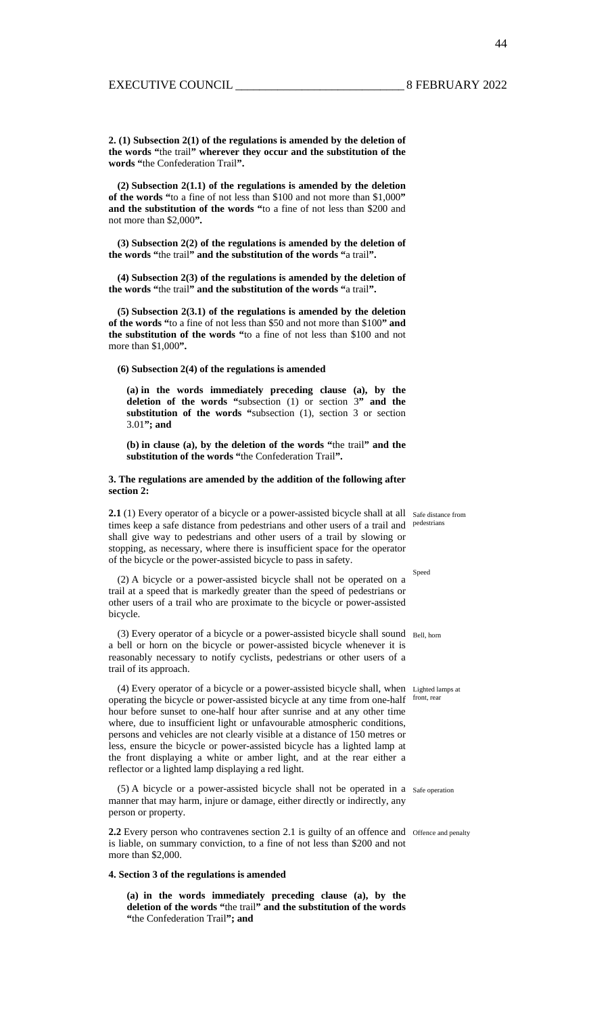44

**2. (1) Subsection 2(1) of the regulations is amended by the deletion of the words "**the trail**" wherever they occur and the substitution of the words "**the Confederation Trail**".** 

**(2) Subsection 2(1.1) of the regulations is amended by the deletion of the words "**to a fine of not less than \$100 and not more than \$1,000**" and the substitution of the words "**to a fine of not less than \$200 and not more than \$2,000**".** 

**(3) Subsection 2(2) of the regulations is amended by the deletion of the words "**the trail**" and the substitution of the words "**a trail**".** 

**(4) Subsection 2(3) of the regulations is amended by the deletion of the words "**the trail**" and the substitution of the words "**a trail**".** 

**(5) Subsection 2(3.1) of the regulations is amended by the deletion of the words "**to a fine of not less than \$50 and not more than \$100**" and the substitution of the words "**to a fine of not less than \$100 and not more than \$1,000**".** 

#### **(6) Subsection 2(4) of the regulations is amended**

**(a) in the words immediately preceding clause (a), by the deletion of the words "**subsection (1) or section 3**" and the substitution of the words "**subsection (1), section 3 or section 3.01**"; and** 

**(b) in clause (a), by the deletion of the words "**the trail**" and the substitution of the words "**the Confederation Trail**".** 

#### **3. The regulations are amended by the addition of the following after section 2:**

2.1 (1) Every operator of a bicycle or a power-assisted bicycle shall at all safe distance from times keep a safe distance from pedestrians and other users of a trail and <sup>pedestrians</sup> shall give way to pedestrians and other users of a trail by slowing or stopping, as necessary, where there is insufficient space for the operator of the bicycle or the power-assisted bicycle to pass in safety.

(2) A bicycle or a power-assisted bicycle shall not be operated on a trail at a speed that is markedly greater than the speed of pedestrians or other users of a trail who are proximate to the bicycle or power-assisted bicycle.

(3) Every operator of a bicycle or a power-assisted bicycle shall sound Bell, horn a bell or horn on the bicycle or power-assisted bicycle whenever it is reasonably necessary to notify cyclists, pedestrians or other users of a trail of its approach.

(4) Every operator of a bicycle or a power-assisted bicycle shall, when Lighted lamps at operating the bicycle or power-assisted bicycle at any time from one-half front, rear hour before sunset to one-half hour after sunrise and at any other time where, due to insufficient light or unfavourable atmospheric conditions, persons and vehicles are not clearly visible at a distance of 150 metres or less, ensure the bicycle or power-assisted bicycle has a lighted lamp at the front displaying a white or amber light, and at the rear either a reflector or a lighted lamp displaying a red light.

(5) A bicycle or a power-assisted bicycle shall not be operated in a Safe operation manner that may harm, injure or damage, either directly or indirectly, any person or property.

**2.2** Every person who contravenes section 2.1 is guilty of an offence and offence and penalty is liable, on summary conviction, to a fine of not less than \$200 and not more than \$2,000.

#### **4. Section 3 of the regulations is amended**

**(a) in the words immediately preceding clause (a), by the deletion of the words "**the trail**" and the substitution of the words "**the Confederation Trail**"; and** 

Speed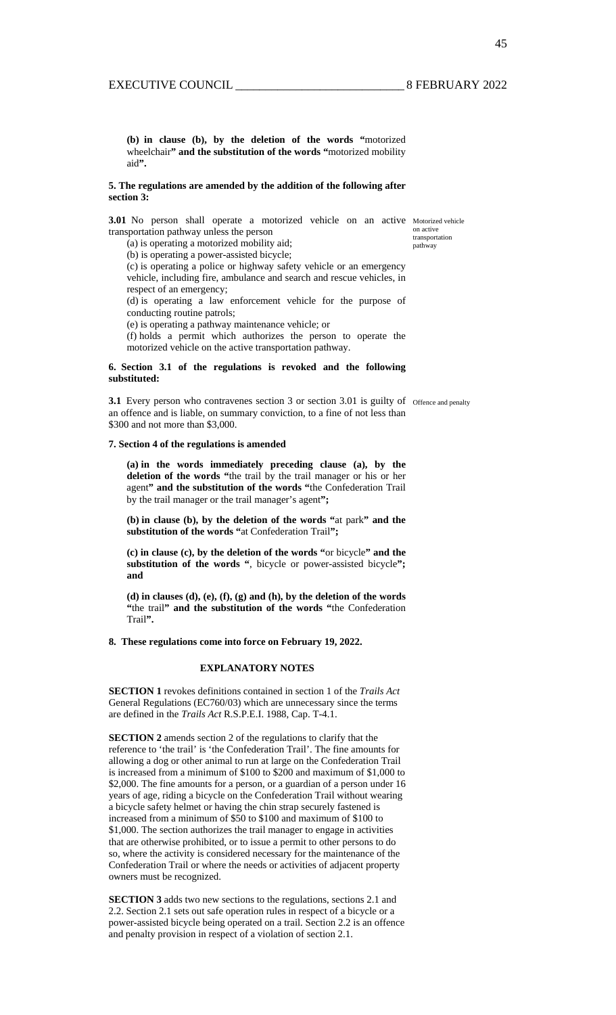**(b) in clause (b), by the deletion of the words "**motorized wheelchair**" and the substitution of the words "**motorized mobility aid**".** 

#### **5. The regulations are amended by the addition of the following after section 3:**

**3.01** No person shall operate a motorized vehicle on an active Motorized vehicle transportation pathway unless the person

(a) is operating a motorized mobility aid;  $_{\text{pathway}}$ 

on active<br>transportation

(b) is operating a power-assisted bicycle;

(c) is operating a police or highway safety vehicle or an emergency vehicle, including fire, ambulance and search and rescue vehicles, in respect of an emergency;

(d) is operating a law enforcement vehicle for the purpose of conducting routine patrols;

(e) is operating a pathway maintenance vehicle; or

(f) holds a permit which authorizes the person to operate the motorized vehicle on the active transportation pathway.

#### **6. Section 3.1 of the regulations is revoked and the following substituted:**

**3.1** Every person who contravenes section 3 or section 3.01 is guilty of offence and penalty an offence and is liable, on summary conviction, to a fine of not less than \$300 and not more than \$3,000.

#### **7. Section 4 of the regulations is amended**

**(a) in the words immediately preceding clause (a), by the deletion of the words "**the trail by the trail manager or his or her agent**" and the substitution of the words "**the Confederation Trail by the trail manager or the trail manager's agent**";** 

**(b) in clause (b), by the deletion of the words "**at park**" and the substitution of the words "**at Confederation Trail**";** 

**(c) in clause (c), by the deletion of the words "**or bicycle**" and the substitution of the words "**, bicycle or power-assisted bicycle**"; and** 

**(d) in clauses (d), (e), (f), (g) and (h), by the deletion of the words "**the trail**" and the substitution of the words "**the Confederation Trail**".** 

#### **8. These regulations come into force on February 19, 2022.**

#### **EXPLANATORY NOTES**

**SECTION 1** revokes definitions contained in section 1 of the *Trails Act* General Regulations (EC760/03) which are unnecessary since the terms are defined in the *Trails Act* R.S.P.E.I. 1988, Cap. T-4.1.

**SECTION 2** amends section 2 of the regulations to clarify that the reference to 'the trail' is 'the Confederation Trail'. The fine amounts for allowing a dog or other animal to run at large on the Confederation Trail is increased from a minimum of \$100 to \$200 and maximum of \$1,000 to \$2,000. The fine amounts for a person, or a guardian of a person under 16 years of age, riding a bicycle on the Confederation Trail without wearing a bicycle safety helmet or having the chin strap securely fastened is increased from a minimum of \$50 to \$100 and maximum of \$100 to \$1,000. The section authorizes the trail manager to engage in activities that are otherwise prohibited, or to issue a permit to other persons to do so, where the activity is considered necessary for the maintenance of the Confederation Trail or where the needs or activities of adjacent property owners must be recognized.

**SECTION 3** adds two new sections to the regulations, sections 2.1 and 2.2. Section 2.1 sets out safe operation rules in respect of a bicycle or a power-assisted bicycle being operated on a trail. Section 2.2 is an offence and penalty provision in respect of a violation of section 2.1.